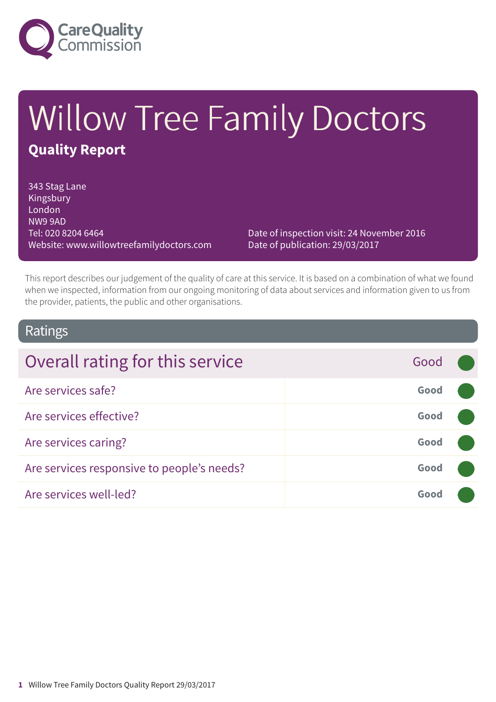

# Willow Tree Family Doctors **Quality Report**

343 Stag Lane Kingsbury London NW9 9AD Tel: 020 8204 6464 Website: www.willowtreefamilydoctors.com

Date of inspection visit: 24 November 2016 Date of publication: 29/03/2017

This report describes our judgement of the quality of care at this service. It is based on a combination of what we found when we inspected, information from our ongoing monitoring of data about services and information given to us from the provider, patients, the public and other organisations.

### Ratings

| Overall rating for this service            | Good |  |
|--------------------------------------------|------|--|
| Are services safe?                         | Good |  |
| Are services effective?                    | Good |  |
| Are services caring?                       | Good |  |
| Are services responsive to people's needs? | Good |  |
| Are services well-led?                     | Good |  |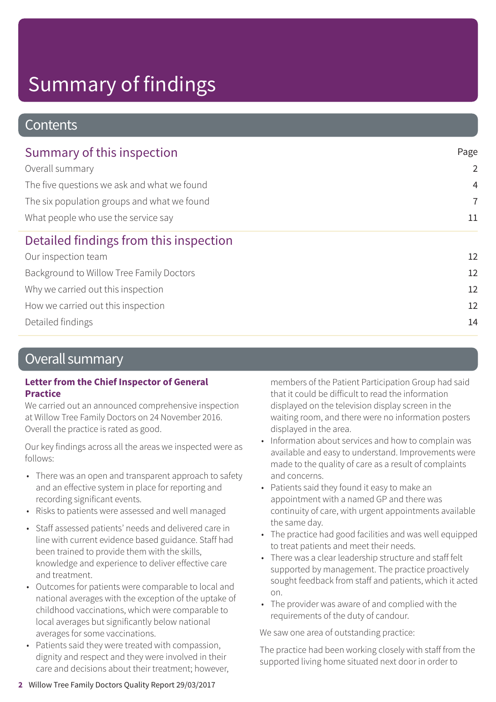### **Contents**

| Summary of this inspection                  | Page           |
|---------------------------------------------|----------------|
| Overall summary                             | $\overline{2}$ |
| The five questions we ask and what we found | $\overline{4}$ |
| The six population groups and what we found | $\overline{7}$ |
| What people who use the service say         | 11             |
| Detailed findings from this inspection      |                |
| Our inspection team                         | 12             |
| Background to Willow Tree Family Doctors    | 12             |
| Why we carried out this inspection          | 12             |
| How we carried out this inspection          | 12             |
| Detailed findings                           | 14             |
|                                             |                |

### Overall summary

#### **Letter from the Chief Inspector of General Practice**

We carried out an announced comprehensive inspection at Willow Tree Family Doctors on 24 November 2016. Overall the practice is rated as good.

Our key findings across all the areas we inspected were as follows:

- There was an open and transparent approach to safety and an effective system in place for reporting and recording significant events.
- Risks to patients were assessed and well managed
- Staff assessed patients' needs and delivered care in line with current evidence based guidance. Staff had been trained to provide them with the skills, knowledge and experience to deliver effective care and treatment.
- Outcomes for patients were comparable to local and national averages with the exception of the uptake of childhood vaccinations, which were comparable to local averages but significantly below national averages for some vaccinations.
- Patients said they were treated with compassion, dignity and respect and they were involved in their care and decisions about their treatment; however,

members of the Patient Participation Group had said that it could be difficult to read the information displayed on the television display screen in the waiting room, and there were no information posters displayed in the area.

- Information about services and how to complain was available and easy to understand. Improvements were made to the quality of care as a result of complaints and concerns.
- Patients said they found it easy to make an appointment with a named GP and there was continuity of care, with urgent appointments available the same day.
- The practice had good facilities and was well equipped to treat patients and meet their needs.
- There was a clear leadership structure and staff felt supported by management. The practice proactively sought feedback from staff and patients, which it acted on.
- The provider was aware of and complied with the requirements of the duty of candour.

We saw one area of outstanding practice:

The practice had been working closely with staff from the supported living home situated next door in order to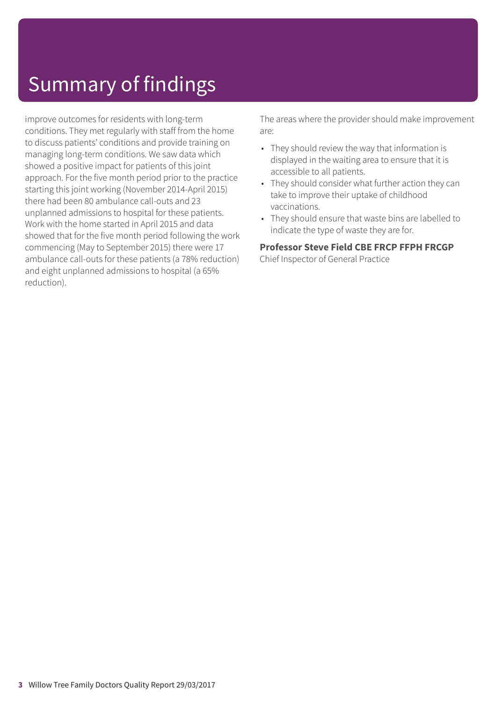improve outcomes for residents with long-term conditions. They met regularly with staff from the home to discuss patients' conditions and provide training on managing long-term conditions. We saw data which showed a positive impact for patients of this joint approach. For the five month period prior to the practice starting this joint working (November 2014-April 2015) there had been 80 ambulance call-outs and 23 unplanned admissions to hospital for these patients. Work with the home started in April 2015 and data showed that for the five month period following the work commencing (May to September 2015) there were 17 ambulance call-outs for these patients (a 78% reduction) and eight unplanned admissions to hospital (a 65% reduction).

The areas where the provider should make improvement are:

- They should review the way that information is displayed in the waiting area to ensure that it is accessible to all patients.
- They should consider what further action they can take to improve their uptake of childhood vaccinations.
- They should ensure that waste bins are labelled to indicate the type of waste they are for.

#### **Professor Steve Field CBE FRCP FFPH FRCGP**

Chief Inspector of General Practice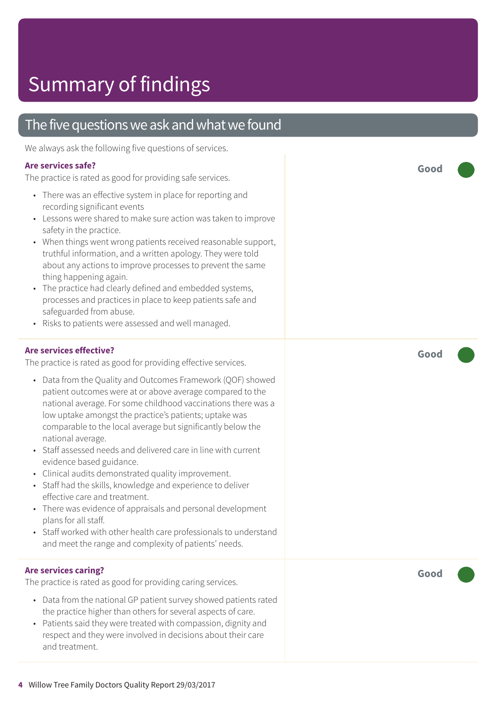### The five questions we ask and what we found

We always ask the following five questions of services.

#### **Are services safe?**

The practice is rated as good for providing safe services.

- There was an effective system in place for reporting and recording significant events
- Lessons were shared to make sure action was taken to improve safety in the practice.
- When things went wrong patients received reasonable support, truthful information, and a written apology. They were told about any actions to improve processes to prevent the same thing happening again.
- The practice had clearly defined and embedded systems, processes and practices in place to keep patients safe and safeguarded from abuse.
- Risks to patients were assessed and well managed.

#### **Are services effective?**

The practice is rated as good for providing effective services.

- Data from the Quality and Outcomes Framework (QOF) showed patient outcomes were at or above average compared to the national average. For some childhood vaccinations there was a low uptake amongst the practice's patients; uptake was comparable to the local average but significantly below the national average.
- Staff assessed needs and delivered care in line with current evidence based guidance.
- Clinical audits demonstrated quality improvement.
- Staff had the skills, knowledge and experience to deliver effective care and treatment.
- There was evidence of appraisals and personal development plans for all staff.
- Staff worked with other health care professionals to understand and meet the range and complexity of patients' needs.

#### **Are services caring?**

The practice is rated as good for providing caring services.

- Data from the national GP patient survey showed patients rated the practice higher than others for several aspects of care.
- Patients said they were treated with compassion, dignity and respect and they were involved in decisions about their care and treatment.

**Good –––**

**Good –––**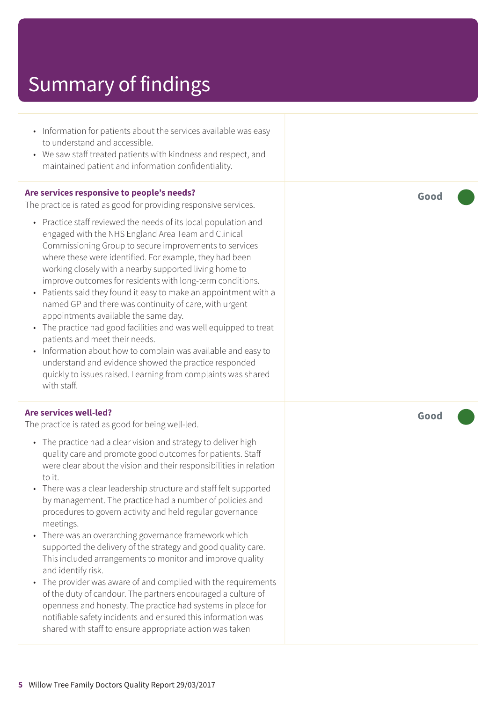- Information for patients about the services available was easy to understand and accessible.
- We saw staff treated patients with kindness and respect, and maintained patient and information confidentiality.

#### **Are services responsive to people's needs?**

The practice is rated as good for providing responsive services.

- Practice staff reviewed the needs of its local population and engaged with the NHS England Area Team and Clinical Commissioning Group to secure improvements to services where these were identified. For example, they had been working closely with a nearby supported living home to improve outcomes for residents with long-term conditions.
- Patients said they found it easy to make an appointment with a named GP and there was continuity of care, with urgent appointments available the same day.
- The practice had good facilities and was well equipped to treat patients and meet their needs.
- Information about how to complain was available and easy to understand and evidence showed the practice responded quickly to issues raised. Learning from complaints was shared with staff.

#### **Are services well-led?**

The practice is rated as good for being well-led.

- The practice had a clear vision and strategy to deliver high quality care and promote good outcomes for patients. Staff were clear about the vision and their responsibilities in relation to it.
- There was a clear leadership structure and staff felt supported by management. The practice had a number of policies and procedures to govern activity and held regular governance meetings.
- There was an overarching governance framework which supported the delivery of the strategy and good quality care. This included arrangements to monitor and improve quality and identify risk.
- The provider was aware of and complied with the requirements of the duty of candour. The partners encouraged a culture of openness and honesty. The practice had systems in place for notifiable safety incidents and ensured this information was shared with staff to ensure appropriate action was taken

**Good –––**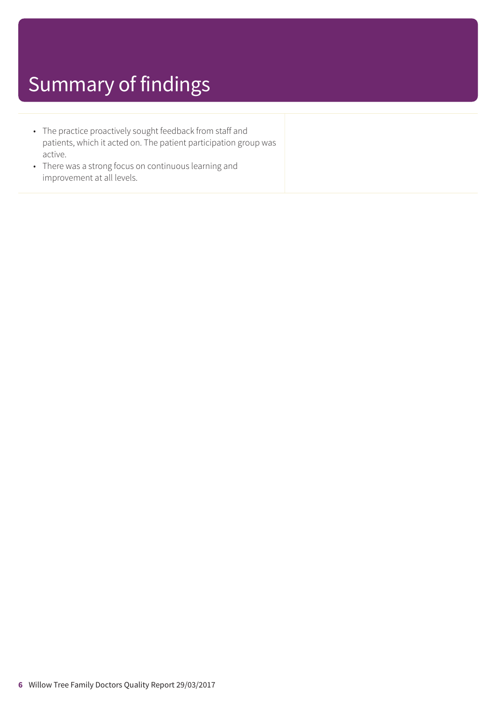- The practice proactively sought feedback from staff and patients, which it acted on. The patient participation group was active.
- There was a strong focus on continuous learning and improvement at all levels.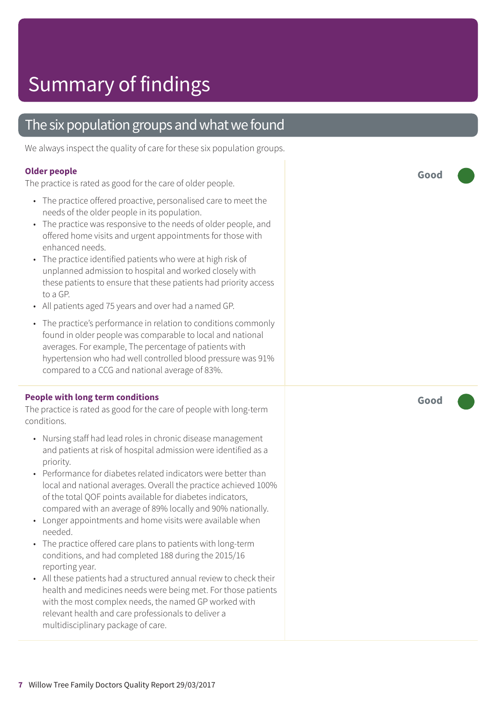### The six population groups and what we found

We always inspect the quality of care for these six population groups.

#### **Older people**

The practice is rated as good for the care of older people.

- The practice offered proactive, personalised care to meet the needs of the older people in its population.
- The practice was responsive to the needs of older people, and offered home visits and urgent appointments for those with enhanced needs.
- The practice identified patients who were at high risk of unplanned admission to hospital and worked closely with these patients to ensure that these patients had priority access to a GP.
- All patients aged 75 years and over had a named GP.
- The practice's performance in relation to conditions commonly found in older people was comparable to local and national averages. For example, The percentage of patients with hypertension who had well controlled blood pressure was 91% compared to a CCG and national average of 83%.

#### **People with long term conditions**

The practice is rated as good for the care of people with long-term conditions.

- Nursing staff had lead roles in chronic disease management and patients at risk of hospital admission were identified as a priority.
- Performance for diabetes related indicators were better than local and national averages. Overall the practice achieved 100% of the total QOF points available for diabetes indicators, compared with an average of 89% locally and 90% nationally.
- Longer appointments and home visits were available when needed.
- The practice offered care plans to patients with long-term conditions, and had completed 188 during the 2015/16 reporting year.
- All these patients had a structured annual review to check their health and medicines needs were being met. For those patients with the most complex needs, the named GP worked with relevant health and care professionals to deliver a multidisciplinary package of care.

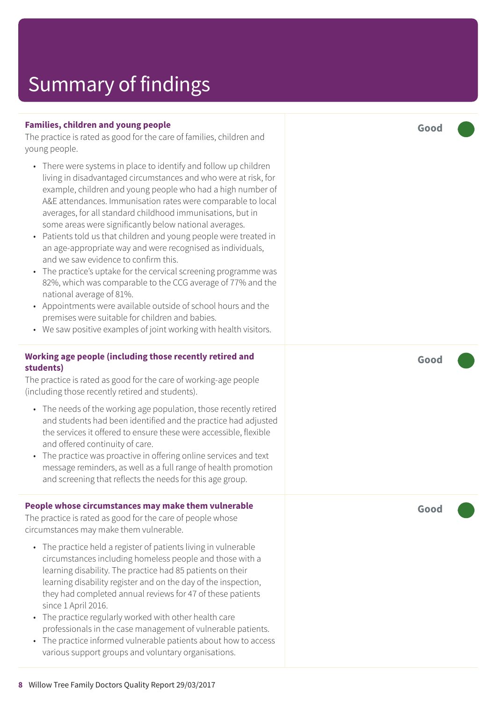#### **Families, children and young people**

The practice is rated as good for the care of families, children and young people.

- There wer e systems in plac e t o identify and follow up children living in disadvantaged circumstances and who wer e at risk , for example, children and young people who had a high number of A&E attendances. Immunisation rates were comparable to local averages, for all standar d childhood immunisations, but in some ar eas wer e significantly below national averages.
- Patients told us that children and young people wer e tr eated in an ag e-appropriat e way and wer e recognised as individuals, and we saw evidenc e t o confirm this.
- The practice's uptake for the cervical screening programme was 82%, which was comparable to the CCG average of 77% and the national averag e of 81%.
- Appointments wer e available outside of school hour s and the premises wer e suitable for children and babies.
- We saw positive examples of joint working with health visitors.

#### **Working ag e people (including those recently r etired and students)**

The practice is rated as good for the care of working-age people (including those recently retired and students).

- The needs of the working age population, those recently retired and students had been identified and the practic e had adjusted the services it offered t o ensur e these wer e ac cessible, flexible and offered continuity of care.
- The practice was proactive in offering online services and text messag e reminders, as well as a full rang e of health promotion and screening that reflects the needs for this age group.

#### **People whose circumstances may mak e them vulnerable**

The practic e is rated as good for the car e of people whose circumstances may mak e them vulnerable.

- The practice held a register of patients living in vulnerable circumstances including homeless people and those with a learning disability. The practic e had 85 patients on their learning disability register and on the day of the inspection, they had completed annual reviews for 47 of these patients sinc e 1 April 2016.
- The practice regularly worked with other health care professionals in the case management of vulnerable patients.
- The practice informed vulnerable patients about how to access various support groups and voluntar y or ganisations.

**Good –––**

**Good –––**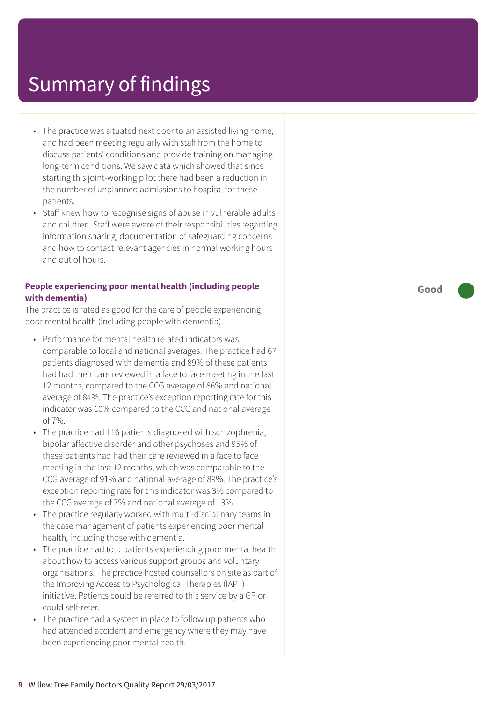- The practice was situated next door to an assisted living home, and had been meeting regularly with staff from the home to discuss patients' conditions and provide training on managing long-term conditions. We saw data which showed that since starting this joint-working pilot there had been a reduction in the number of unplanned admissions to hospital for these patients.
- Staff knew how to recognise signs of abuse in vulnerable adults and children. Staff were aware of their responsibilities regarding information sharing, documentation of safeguarding concerns and how to contact relevant agencies in normal working hours and out of hours.

#### **People experiencing poor mental health (including people with dementia)**

The practice is rated as good for the care of people experiencing poor mental health (including people with dementia).

- Performance for mental health related indicators was comparable to local and national averages. The practice had 67 patients diagnosed with dementia and 89% of these patients had had their care reviewed in a face to face meeting in the last 12 months, compared to the CCG average of 86% and national average of 84%. The practice's exception reporting rate for this indicator was 10% compared to the CCG and national average of 7%.
- The practice had 116 patients diagnosed with schizophrenia, bipolar affective disorder and other psychoses and 95% of these patients had had their care reviewed in a face to face meeting in the last 12 months, which was comparable to the CCG average of 91% and national average of 89%. The practice's exception reporting rate for this indicator was 3% compared to the CCG average of 7% and national average of 13%.
- The practice regularly worked with multi-disciplinary teams in the case management of patients experiencing poor mental health, including those with dementia.
- The practice had told patients experiencing poor mental health about how to access various support groups and voluntary organisations. The practice hosted counsellors on site as part of the Improving Access to Psychological Therapies (IAPT) initiative. Patients could be referred to this service by a GP or could self-refer.
- The practice had a system in place to follow up patients who had attended accident and emergency where they may have been experiencing poor mental health.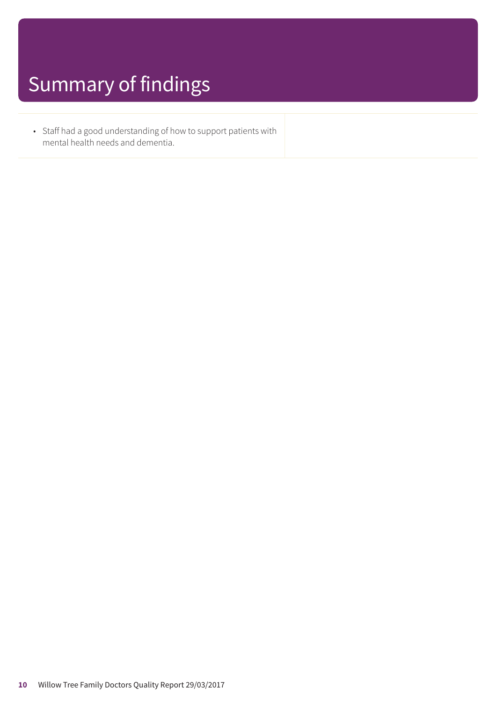• Staff had a good understanding of how to support patients with mental health needs and dementia.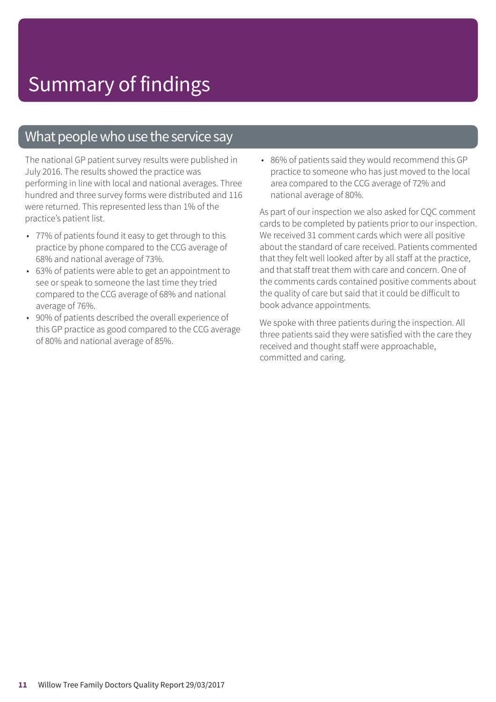### What people who use the service say

The national GP patient survey results were published in July 2016. The results showed the practice was performing in line with local and national averages. Three hundred and three survey forms were distributed and 116 were returned. This represented less than 1% of the practice's patient list.

- 77% of patients found it easy to get through to this practice by phone compared to the CCG average of 68% and national average of 73%.
- 63% of patients were able to get an appointment to see or speak to someone the last time they tried compared to the CCG average of 68% and national average of 76%.
- 90% of patients described the overall experience of this GP practice as good compared to the CCG average of 80% and national average of 85%.

• 86% of patients said they would recommend this GP practice to someone who has just moved to the local area compared to the CCG average of 72% and national average of 80%.

As part of our inspection we also asked for CQC comment cards to be completed by patients prior to our inspection. We received 31 comment cards which were all positive about the standard of care received. Patients commented that they felt well looked after by all staff at the practice, and that staff treat them with care and concern. One of the comments cards contained positive comments about the quality of care but said that it could be difficult to book advance appointments.

We spoke with three patients during the inspection. All three patients said they were satisfied with the care they received and thought staff were approachable, committed and caring.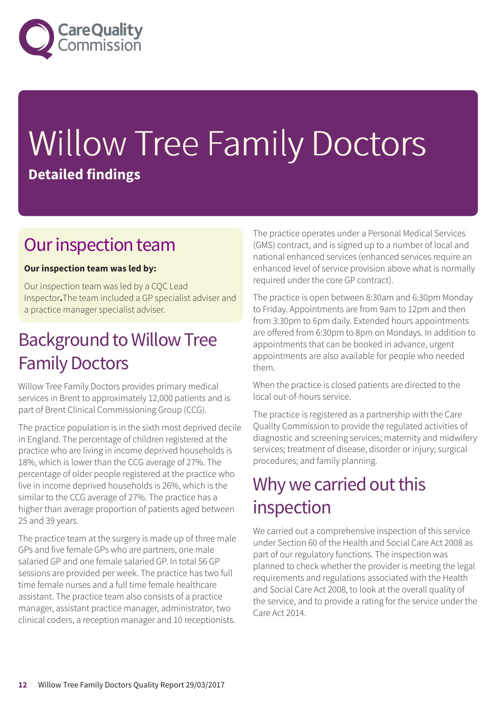

# Willow Tree Family Doctors **Detailed findings**

### Our inspection team

#### **Our inspection team was led by:**

Our inspection team was led by a CQC Lead Inspector**.**The team included a GP specialist adviser and a practice manager specialist adviser.

### **Background to Willow Tree Family Doctors**

Willow Tree Family Doctors provides primary medical services in Brent to approximately 12,000 patients and is part of Brent Clinical Commissioning Group (CCG).

The practice population is in the sixth most deprived decile in England. The percentage of children registered at the practice who are living in income deprived households is 18%, which is lower than the CCG average of 27%. The percentage of older people registered at the practice who live in income deprived households is 26%, which is the similar to the CCG average of 27%. The practice has a higher than average proportion of patients aged between 25 and 39 years.

The practice team at the surgery is made up of three male GPs and five female GPs who are partners, one male salaried GP and one female salaried GP. In total 56 GP sessions are provided per week. The practice has two full time female nurses and a full time female healthcare assistant. The practice team also consists of a practice manager, assistant practice manager, administrator, two clinical coders, a reception manager and 10 receptionists. The practice operates under a Personal Medical Services (GMS) contract, and is signed up to a number of local and national enhanced services (enhanced services require an enhanced level of service provision above what is normally required under the core GP contract).

The practice is open between 8:30am and 6:30pm Monday to Friday. Appointments are from 9am to 12pm and then from 3:30pm to 6pm daily. Extended hours appointments are offered from 6:30pm to 8pm on Mondays. In addition to appointments that can be booked in advance, urgent appointments are also available for people who needed them.

When the practice is closed patients are directed to the local out-of-hours service.

The practice is registered as a partnership with the Care Quality Commission to provide the regulated activities of diagnostic and screening services; maternity and midwifery services; treatment of disease, disorder or injury; surgical procedures; and family planning.

### Why we carried out this inspection

We carried out a comprehensive inspection of this service under Section 60 of the Health and Social Care Act 2008 as part of our regulatory functions. The inspection was planned to check whether the provider is meeting the legal requirements and regulations associated with the Health and Social Care Act 2008, to look at the overall quality of the service, and to provide a rating for the service under the Care Act 2014.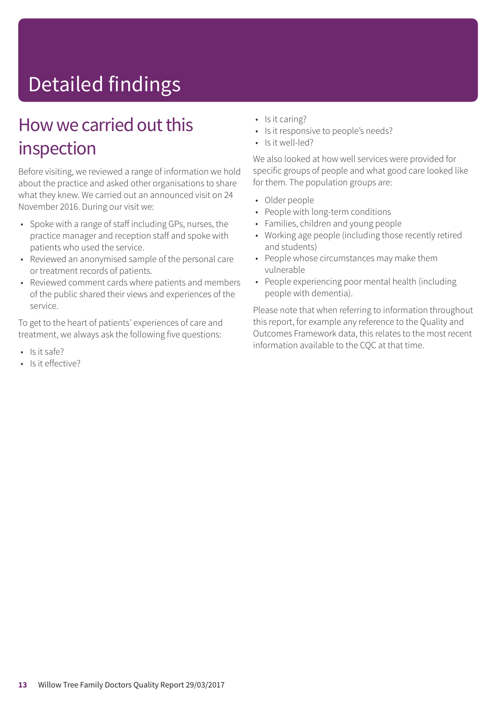# Detailed findings

### How we carried out this inspection

Before visiting, we reviewed a range of information we hold about the practice and asked other organisations to share what they knew. We carried out an announced visit on 24 November 2016. During our visit we:

- Spoke with a range of staff including GPs, nurses, the practice manager and reception staff and spoke with patients who used the service.
- Reviewed an anonymised sample of the personal care or treatment records of patients.
- Reviewed comment cards where patients and members of the public shared their views and experiences of the service.

To get to the heart of patients' experiences of care and treatment, we always ask the following five questions:

- Is it safe?
- Is it effective?
- Is it caring?
- Is it responsive to people's needs?
- Is it well-led?

We also looked at how well services were provided for specific groups of people and what good care looked like for them. The population groups are:

- Older people
- People with long-term conditions
- Families, children and young people
- Working age people (including those recently retired and students)
- People whose circumstances may make them vulnerable
- People experiencing poor mental health (including people with dementia).

Please note that when referring to information throughout this report, for example any reference to the Quality and Outcomes Framework data, this relates to the most recent information available to the CQC at that time.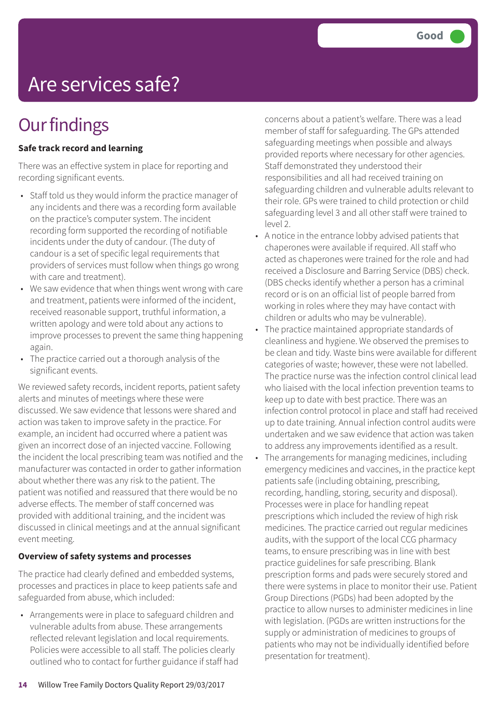## Are services safe?

### **Our findings**

#### **Safe track record and learning**

There was an effective system in place for reporting and recording significant events.

- Staff told us they would inform the practice manager of any incidents and there was a recording form available on the practice's computer system. The incident recording form supported the recording of notifiable incidents under the duty of candour. (The duty of candour is a set of specific legal requirements that providers of services must follow when things go wrong with care and treatment).
- We saw evidence that when things went wrong with care and treatment, patients were informed of the incident, received reasonable support, truthful information, a written apology and were told about any actions to improve processes to prevent the same thing happening again.
- The practice carried out a thorough analysis of the significant events.

We reviewed safety records, incident reports, patient safety alerts and minutes of meetings where these were discussed. We saw evidence that lessons were shared and action was taken to improve safety in the practice. For example, an incident had occurred where a patient was given an incorrect dose of an injected vaccine. Following the incident the local prescribing team was notified and the manufacturer was contacted in order to gather information about whether there was any risk to the patient. The patient was notified and reassured that there would be no adverse effects. The member of staff concerned was provided with additional training, and the incident was discussed in clinical meetings and at the annual significant event meeting.

#### **Overview of safety systems and processes**

The practice had clearly defined and embedded systems, processes and practices in place to keep patients safe and safeguarded from abuse, which included:

• Arrangements were in place to safeguard children and vulnerable adults from abuse. These arrangements reflected relevant legislation and local requirements. Policies were accessible to all staff. The policies clearly outlined who to contact for further guidance if staff had concerns about a patient's welfare. There was a lead member of staff for safeguarding. The GPs attended safeguarding meetings when possible and always provided reports where necessary for other agencies. Staff demonstrated they understood their responsibilities and all had received training on safeguarding children and vulnerable adults relevant to their role. GPs were trained to child protection or child safeguarding level 3 and all other staff were trained to level 2.

- A notice in the entrance lobby advised patients that chaperones were available if required. All staff who acted as chaperones were trained for the role and had received a Disclosure and Barring Service (DBS) check. (DBS checks identify whether a person has a criminal record or is on an official list of people barred from working in roles where they may have contact with children or adults who may be vulnerable).
- The practice maintained appropriate standards of cleanliness and hygiene. We observed the premises to be clean and tidy. Waste bins were available for different categories of waste; however, these were not labelled. The practice nurse was the infection control clinical lead who liaised with the local infection prevention teams to keep up to date with best practice. There was an infection control protocol in place and staff had received up to date training. Annual infection control audits were undertaken and we saw evidence that action was taken to address any improvements identified as a result.
- The arrangements for managing medicines, including emergency medicines and vaccines, in the practice kept patients safe (including obtaining, prescribing, recording, handling, storing, security and disposal). Processes were in place for handling repeat prescriptions which included the review of high risk medicines. The practice carried out regular medicines audits, with the support of the local CCG pharmacy teams, to ensure prescribing was in line with best practice guidelines for safe prescribing. Blank prescription forms and pads were securely stored and there were systems in place to monitor their use. Patient Group Directions (PGDs) had been adopted by the practice to allow nurses to administer medicines in line with legislation. (PGDs are written instructions for the supply or administration of medicines to groups of patients who may not be individually identified before presentation for treatment).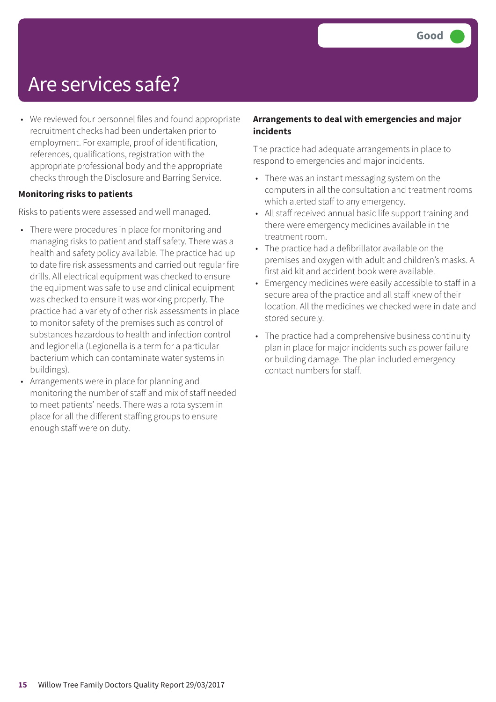### Are services safe?

• We reviewed four personnel files and found appropriate recruitment checks had been undertaken prior to employment. For example, proof of identification, references, qualifications, registration with the appropriate professional body and the appropriate checks through the Disclosure and Barring Service.

#### **Monitoring risks to patients**

Risks to patients were assessed and well managed.

- There were procedures in place for monitoring and managing risks to patient and staff safety. There was a health and safety policy available. The practice had up to date fire risk assessments and carried out regular fire drills. All electrical equipment was checked to ensure the equipment was safe to use and clinical equipment was checked to ensure it was working properly. The practice had a variety of other risk assessments in place to monitor safety of the premises such as control of substances hazardous to health and infection control and legionella (Legionella is a term for a particular bacterium which can contaminate water systems in buildings).
- Arrangements were in place for planning and monitoring the number of staff and mix of staff needed to meet patients' needs. There was a rota system in place for all the different staffing groups to ensure enough staff were on duty.

#### **Arrangements to deal with emergencies and major incidents**

The practice had adequate arrangements in place to respond to emergencies and major incidents.

- There was an instant messaging system on the computers in all the consultation and treatment rooms which alerted staff to any emergency.
- All staff received annual basic life support training and there were emergency medicines available in the treatment room.
- The practice had a defibrillator available on the premises and oxygen with adult and children's masks. A first aid kit and accident book were available.
- Emergency medicines were easily accessible to staff in a secure area of the practice and all staff knew of their location. All the medicines we checked were in date and stored securely.
- The practice had a comprehensive business continuity plan in place for major incidents such as power failure or building damage. The plan included emergency contact numbers for staff.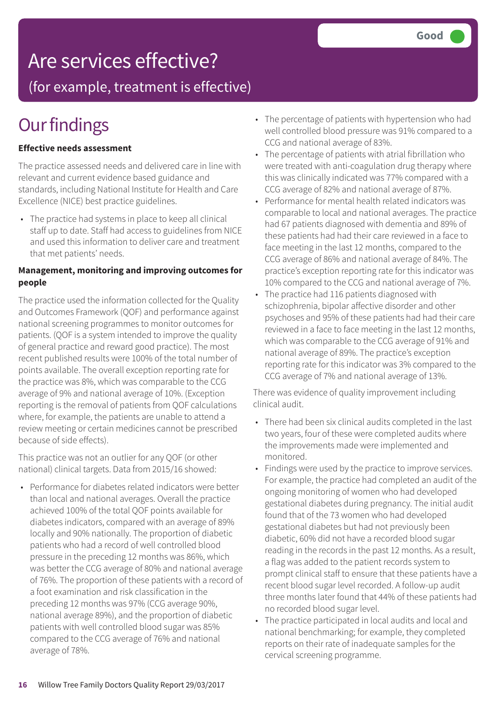### Are services effective?

(for example, treatment is effective)

### **Our findings**

#### **Effective needs assessment**

The practice assessed needs and delivered care in line with relevant and current evidence based guidance and standards, including National Institute for Health and Care Excellence (NICE) best practice guidelines.

• The practice had systems in place to keep all clinical staff up to date. Staff had access to guidelines from NICE and used this information to deliver care and treatment that met patients' needs.

#### **Management, monitoring and improving outcomes for people**

The practice used the information collected for the Quality and Outcomes Framework (QOF) and performance against national screening programmes to monitor outcomes for patients. (QOF is a system intended to improve the quality of general practice and reward good practice). The most recent published results were 100% of the total number of points available. The overall exception reporting rate for the practice was 8%, which was comparable to the CCG average of 9% and national average of 10%. (Exception reporting is the removal of patients from QOF calculations where, for example, the patients are unable to attend a review meeting or certain medicines cannot be prescribed because of side effects).

This practice was not an outlier for any QOF (or other national) clinical targets. Data from 2015/16 showed:

• Performance for diabetes related indicators were better than local and national averages. Overall the practice achieved 100% of the total QOF points available for diabetes indicators, compared with an average of 89% locally and 90% nationally. The proportion of diabetic patients who had a record of well controlled blood pressure in the preceding 12 months was 86%, which was better the CCG average of 80% and national average of 76%. The proportion of these patients with a record of a foot examination and risk classification in the preceding 12 months was 97% (CCG average 90%, national average 89%), and the proportion of diabetic patients with well controlled blood sugar was 85% compared to the CCG average of 76% and national average of 78%.

- The percentage of patients with hypertension who had well controlled blood pressure was 91% compared to a CCG and national average of 83%.
- The percentage of patients with atrial fibrillation who were treated with anti-coagulation drug therapy where this was clinically indicated was 77% compared with a CCG average of 82% and national average of 87%.
- Performance for mental health related indicators was comparable to local and national averages. The practice had 67 patients diagnosed with dementia and 89% of these patients had had their care reviewed in a face to face meeting in the last 12 months, compared to the CCG average of 86% and national average of 84%. The practice's exception reporting rate for this indicator was 10% compared to the CCG and national average of 7%.
- The practice had 116 patients diagnosed with schizophrenia, bipolar affective disorder and other psychoses and 95% of these patients had had their care reviewed in a face to face meeting in the last 12 months, which was comparable to the CCG average of 91% and national average of 89%. The practice's exception reporting rate for this indicator was 3% compared to the CCG average of 7% and national average of 13%.

There was evidence of quality improvement including clinical audit.

- There had been six clinical audits completed in the last two years, four of these were completed audits where the improvements made were implemented and monitored.
- Findings were used by the practice to improve services. For example, the practice had completed an audit of the ongoing monitoring of women who had developed gestational diabetes during pregnancy. The initial audit found that of the 73 women who had developed gestational diabetes but had not previously been diabetic, 60% did not have a recorded blood sugar reading in the records in the past 12 months. As a result, a flag was added to the patient records system to prompt clinical staff to ensure that these patients have a recent blood sugar level recorded. A follow-up audit three months later found that 44% of these patients had no recorded blood sugar level.
- The practice participated in local audits and local and national benchmarking; for example, they completed reports on their rate of inadequate samples for the cervical screening programme.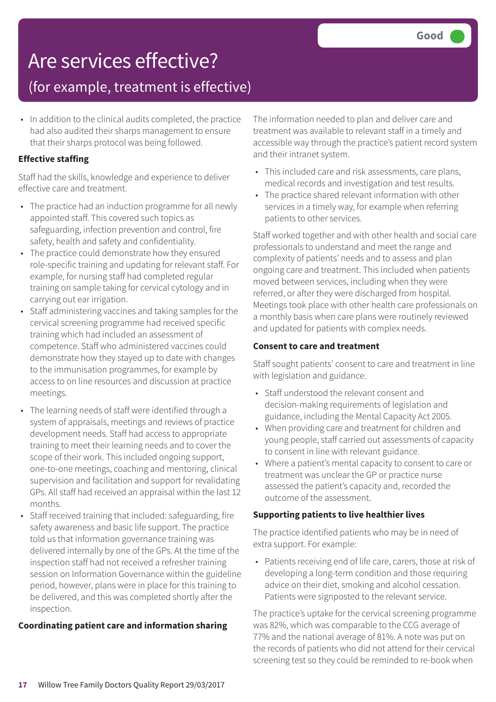### Are services effective?

### (for example, treatment is effective)

• In addition to the clinical audits completed, the practice had also audited their sharps management to ensure that their sharps protocol was being followed.

#### **Effective staffing**

Staff had the skills, knowledge and experience to deliver effective care and treatment.

- The practice had an induction programme for all newly appointed staff. This covered such topics as safeguarding, infection prevention and control, fire safety, health and safety and confidentiality.
- The practice could demonstrate how they ensured role-specific training and updating for relevant staff. For example, for nursing staff had completed regular training on sample taking for cervical cytology and in carrying out ear irrigation.
- Staff administering vaccines and taking samples for the cervical screening programme had received specific training which had included an assessment of competence. Staff who administered vaccines could demonstrate how they stayed up to date with changes to the immunisation programmes, for example by access to on line resources and discussion at practice meetings.
- The learning needs of staff were identified through a system of appraisals, meetings and reviews of practice development needs. Staff had access to appropriate training to meet their learning needs and to cover the scope of their work. This included ongoing support, one-to-one meetings, coaching and mentoring, clinical supervision and facilitation and support for revalidating GPs. All staff had received an appraisal within the last 12 months.
- Staff received training that included: safeguarding, fire safety awareness and basic life support. The practice told us that information governance training was delivered internally by one of the GPs. At the time of the inspection staff had not received a refresher training session on Information Governance within the guideline period, however, plans were in place for this training to be delivered, and this was completed shortly after the inspection.

#### **Coordinating patient care and information sharing**

The information needed to plan and deliver care and treatment was available to relevant staff in a timely and accessible way through the practice's patient record system and their intranet system.

- This included care and risk assessments, care plans, medical records and investigation and test results.
- The practice shared relevant information with other services in a timely way, for example when referring patients to other services.

Staff worked together and with other health and social care professionals to understand and meet the range and complexity of patients' needs and to assess and plan ongoing care and treatment. This included when patients moved between services, including when they were referred, or after they were discharged from hospital. Meetings took place with other health care professionals on a monthly basis when care plans were routinely reviewed and updated for patients with complex needs.

#### **Consent to care and treatment**

Staff sought patients' consent to care and treatment in line with legislation and guidance.

- Staff understood the relevant consent and decision-making requirements of legislation and guidance, including the Mental Capacity Act 2005.
- When providing care and treatment for children and young people, staff carried out assessments of capacity to consent in line with relevant guidance.
- Where a patient's mental capacity to consent to care or treatment was unclear the GP or practice nurse assessed the patient's capacity and, recorded the outcome of the assessment.

#### **Supporting patients to live healthier lives**

The practice identified patients who may be in need of extra support. For example:

• Patients receiving end of life care, carers, those at risk of developing a long-term condition and those requiring advice on their diet, smoking and alcohol cessation. Patients were signposted to the relevant service.

The practice's uptake for the cervical screening programme was 82%, which was comparable to the CCG average of 77% and the national average of 81%. A note was put on the records of patients who did not attend for their cervical screening test so they could be reminded to re-book when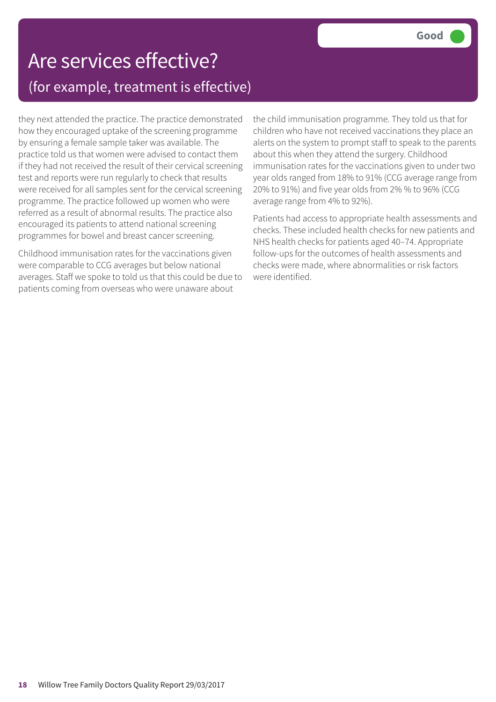### Are services effective? (for example, treatment is effective)

they next attended the practice. The practice demonstrated how they encouraged uptake of the screening programme by ensuring a female sample taker was available. The practice told us that women were advised to contact them if they had not received the result of their cervical screening test and reports were run regularly to check that results were received for all samples sent for the cervical screening programme. The practice followed up women who were referred as a result of abnormal results. The practice also encouraged its patients to attend national screening programmes for bowel and breast cancer screening.

Childhood immunisation rates for the vaccinations given were comparable to CCG averages but below national averages. Staff we spoke to told us that this could be due to patients coming from overseas who were unaware about

the child immunisation programme. They told us that for children who have not received vaccinations they place an alerts on the system to prompt staff to speak to the parents about this when they attend the surgery. Childhood immunisation rates for the vaccinations given to under two year olds ranged from 18% to 91% (CCG average range from 20% to 91%) and five year olds from 2% % to 96% (CCG average range from 4% to 92%).

Patients had access to appropriate health assessments and checks. These included health checks for new patients and NHS health checks for patients aged 40–74. Appropriate follow-ups for the outcomes of health assessments and checks were made, where abnormalities or risk factors were identified.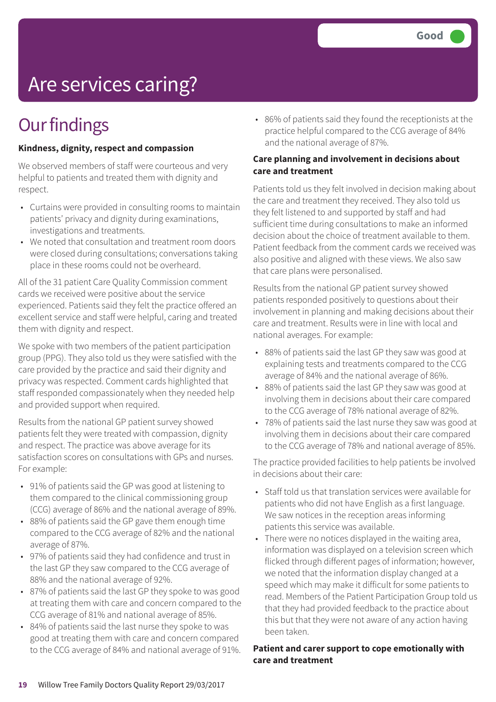## Are services caring?

### **Our findings**

#### **Kindness, dignity, respect and compassion**

We observed members of staff were courteous and very helpful to patients and treated them with dignity and respect.

- Curtains were provided in consulting rooms to maintain patients' privacy and dignity during examinations, investigations and treatments.
- We noted that consultation and treatment room doors were closed during consultations; conversations taking place in these rooms could not be overheard.

All of the 31 patient Care Quality Commission comment cards we received were positive about the service experienced. Patients said they felt the practice offered an excellent service and staff were helpful, caring and treated them with dignity and respect.

We spoke with two members of the patient participation group (PPG). They also told us they were satisfied with the care provided by the practice and said their dignity and privacy was respected. Comment cards highlighted that staff responded compassionately when they needed help and provided support when required.

Results from the national GP patient survey showed patients felt they were treated with compassion, dignity and respect. The practice was above average for its satisfaction scores on consultations with GPs and nurses. For example:

- 91% of patients said the GP was good at listening to them compared to the clinical commissioning group (CCG) average of 86% and the national average of 89%.
- 88% of patients said the GP gave them enough time compared to the CCG average of 82% and the national average of 87%.
- 97% of patients said they had confidence and trust in the last GP they saw compared to the CCG average of 88% and the national average of 92%.
- 87% of patients said the last GP they spoke to was good at treating them with care and concern compared to the CCG average of 81% and national average of 85%.
- 84% of patients said the last nurse they spoke to was good at treating them with care and concern compared to the CCG average of 84% and national average of 91%.

• 86% of patients said they found the receptionists at the practice helpful compared to the CCG average of 84% and the national average of 87%.

#### **Care planning and involvement in decisions about care and treatment**

Patients told us they felt involved in decision making about the care and treatment they received. They also told us they felt listened to and supported by staff and had sufficient time during consultations to make an informed decision about the choice of treatment available to them. Patient feedback from the comment cards we received was also positive and aligned with these views. We also saw that care plans were personalised.

Results from the national GP patient survey showed patients responded positively to questions about their involvement in planning and making decisions about their care and treatment. Results were in line with local and national averages. For example:

- 88% of patients said the last GP they saw was good at explaining tests and treatments compared to the CCG average of 84% and the national average of 86%.
- 88% of patients said the last GP they saw was good at involving them in decisions about their care compared to the CCG average of 78% national average of 82%.
- 78% of patients said the last nurse they saw was good at involving them in decisions about their care compared to the CCG average of 78% and national average of 85%.

The practice provided facilities to help patients be involved in decisions about their care:

- Staff told us that translation services were available for patients who did not have English as a first language. We saw notices in the reception areas informing patients this service was available.
- There were no notices displayed in the waiting area, information was displayed on a television screen which flicked through different pages of information; however, we noted that the information display changed at a speed which may make it difficult for some patients to read. Members of the Patient Participation Group told us that they had provided feedback to the practice about this but that they were not aware of any action having been taken.

#### **Patient and carer support to cope emotionally with care and treatment**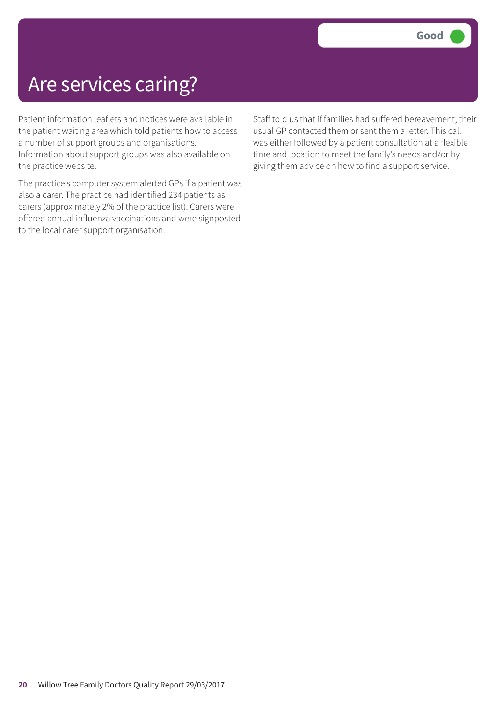### Are services caring?

Patient information leaflets and notices were available in the patient waiting area which told patients how to access a number of support groups and organisations. Information about support groups was also available on the practice website.

The practice's computer system alerted GPs if a patient was also a carer. The practice had identified 234 patients as carers (approximately 2% of the practice list). Carers were offered annual influenza vaccinations and were signposted to the local carer support organisation.

Staff told us that if families had suffered bereavement, their usual GP contacted them or sent them a letter. This call was either followed by a patient consultation at a flexible time and location to meet the family's needs and/or by giving them advice on how to find a support service.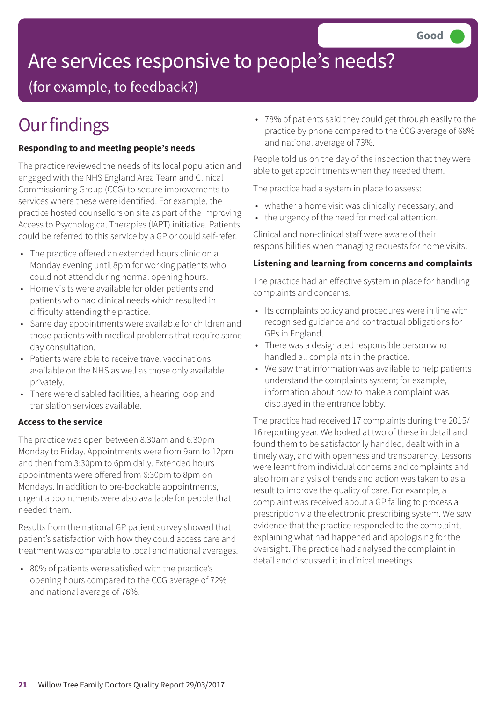# Are services responsive to people's needs?

(for example, to feedback?)

## **Our findings**

#### **Responding to and meeting people's needs**

The practice reviewed the needs of its local population and engaged with the NHS England Area Team and Clinical Commissioning Group (CCG) to secure improvements to services where these were identified. For example, the practice hosted counsellors on site as part of the Improving Access to Psychological Therapies (IAPT) initiative. Patients could be referred to this service by a GP or could self-refer.

- The practice offered an extended hours clinic on a Monday evening until 8pm for working patients who could not attend during normal opening hours.
- Home visits were available for older patients and patients who had clinical needs which resulted in difficulty attending the practice.
- Same day appointments were available for children and those patients with medical problems that require same day consultation.
- Patients were able to receive travel vaccinations available on the NHS as well as those only available privately.
- There were disabled facilities, a hearing loop and translation services available.

#### **Access to the service**

The practice was open between 8:30am and 6:30pm Monday to Friday. Appointments were from 9am to 12pm and then from 3:30pm to 6pm daily. Extended hours appointments were offered from 6:30pm to 8pm on Mondays. In addition to pre-bookable appointments, urgent appointments were also available for people that needed them.

Results from the national GP patient survey showed that patient's satisfaction with how they could access care and treatment was comparable to local and national averages.

• 80% of patients were satisfied with the practice's opening hours compared to the CCG average of 72% and national average of 76%.

• 78% of patients said they could get through easily to the practice by phone compared to the CCG average of 68% and national average of 73%.

People told us on the day of the inspection that they were able to get appointments when they needed them.

The practice had a system in place to assess:

- whether a home visit was clinically necessary; and
- the urgency of the need for medical attention.

Clinical and non-clinical staff were aware of their responsibilities when managing requests for home visits.

#### **Listening and learning from concerns and complaints**

The practice had an effective system in place for handling complaints and concerns.

- Its complaints policy and procedures were in line with recognised guidance and contractual obligations for GPs in England.
- There was a designated responsible person who handled all complaints in the practice.
- We saw that information was available to help patients understand the complaints system; for example, information about how to make a complaint was displayed in the entrance lobby.

The practice had received 17 complaints during the 2015/ 16 reporting year. We looked at two of these in detail and found them to be satisfactorily handled, dealt with in a timely way, and with openness and transparency. Lessons were learnt from individual concerns and complaints and also from analysis of trends and action was taken to as a result to improve the quality of care. For example, a complaint was received about a GP failing to process a prescription via the electronic prescribing system. We saw evidence that the practice responded to the complaint, explaining what had happened and apologising for the oversight. The practice had analysed the complaint in detail and discussed it in clinical meetings.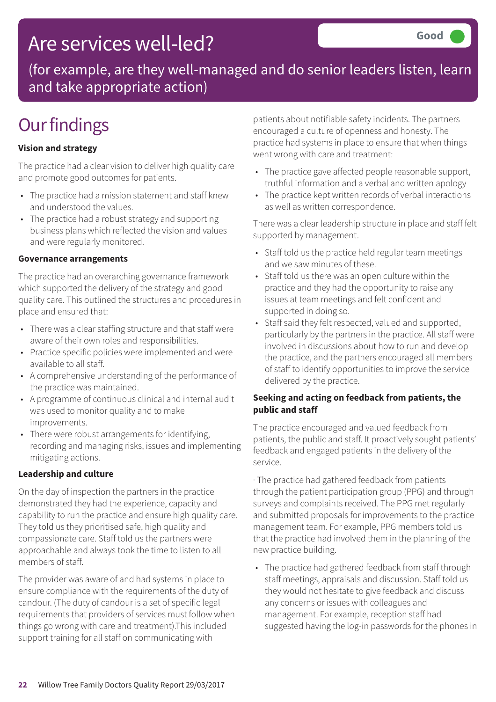### Are services well-led?

(for example, are they well-managed and do senior leaders listen, learn and take appropriate action)

## **Our findings**

#### **Vision and strategy**

The practice had a clear vision to deliver high quality care and promote good outcomes for patients.

- The practice had a mission statement and staff knew and understood the values.
- The practice had a robust strategy and supporting business plans which reflected the vision and values and were regularly monitored.

#### **Governance arrangements**

The practice had an overarching governance framework which supported the delivery of the strategy and good quality care. This outlined the structures and procedures in place and ensured that:

- There was a clear staffing structure and that staff were aware of their own roles and responsibilities.
- Practice specific policies were implemented and were available to all staff.
- A comprehensive understanding of the performance of the practice was maintained.
- A programme of continuous clinical and internal audit was used to monitor quality and to make improvements.
- There were robust arrangements for identifying, recording and managing risks, issues and implementing mitigating actions.

#### **Leadership and culture**

On the day of inspection the partners in the practice demonstrated they had the experience, capacity and capability to run the practice and ensure high quality care. They told us they prioritised safe, high quality and compassionate care. Staff told us the partners were approachable and always took the time to listen to all members of staff.

The provider was aware of and had systems in place to ensure compliance with the requirements of the duty of candour. (The duty of candour is a set of specific legal requirements that providers of services must follow when things go wrong with care and treatment).This included support training for all staff on communicating with

patients about notifiable safety incidents. The partners encouraged a culture of openness and honesty. The practice had systems in place to ensure that when things went wrong with care and treatment:

- The practice gave affected people reasonable support, truthful information and a verbal and written apology
- The practice kept written records of verbal interactions as well as written correspondence.

There was a clear leadership structure in place and staff felt supported by management.

- Staff told us the practice held regular team meetings and we saw minutes of these.
- Staff told us there was an open culture within the practice and they had the opportunity to raise any issues at team meetings and felt confident and supported in doing so.
- Staff said they felt respected, valued and supported, particularly by the partners in the practice. All staff were involved in discussions about how to run and develop the practice, and the partners encouraged all members of staff to identify opportunities to improve the service delivered by the practice.

#### **Seeking and acting on feedback from patients, the public and staff**

The practice encouraged and valued feedback from patients, the public and staff. It proactively sought patients' feedback and engaged patients in the delivery of the service.

· The practice had gathered feedback from patients through the patient participation group (PPG) and through surveys and complaints received. The PPG met regularly and submitted proposals for improvements to the practice management team. For example, PPG members told us that the practice had involved them in the planning of the new practice building.

• The practice had gathered feedback from staff through staff meetings, appraisals and discussion. Staff told us they would not hesitate to give feedback and discuss any concerns or issues with colleagues and management. For example, reception staff had suggested having the log-in passwords for the phones in